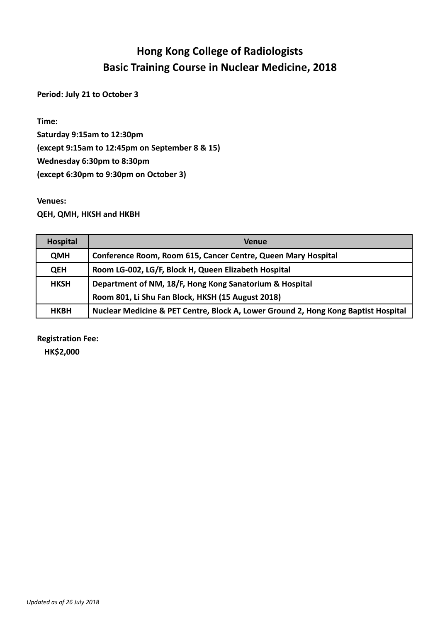## **Hong Kong College of Radiologists Basic Training Course in Nuclear Medicine, 2018**

**Period: July 21 to October 3**

**Time:** 

**Saturday 9:15am to 12:30pm (except 9:15am to 12:45pm on September 8 & 15) Wednesday 6:30pm to 8:30pm (except 6:30pm to 9:30pm on October 3)**

## **Venues:**

**QEH, QMH, HKSH and HKBH**

| <b>Hospital</b> | <b>Venue</b>                                                                       |
|-----------------|------------------------------------------------------------------------------------|
| <b>QMH</b>      | Conference Room, Room 615, Cancer Centre, Queen Mary Hospital                      |
| <b>QEH</b>      | Room LG-002, LG/F, Block H, Queen Elizabeth Hospital                               |
| <b>HKSH</b>     | Department of NM, 18/F, Hong Kong Sanatorium & Hospital                            |
|                 | Room 801, Li Shu Fan Block, HKSH (15 August 2018)                                  |
| <b>HKBH</b>     | Nuclear Medicine & PET Centre, Block A, Lower Ground 2, Hong Kong Baptist Hospital |

**Registration Fee:**

**HK\$2,000**